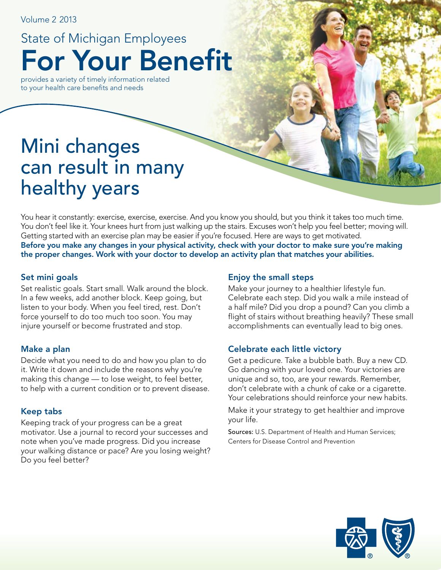Volume 2 2013

For Your Benefit State of Michigan Employees

provides a variety of timely information related to your health care benefits and needs

# Mini changes can result in many healthy years

You hear it constantly: exercise, exercise, exercise. And you know you should, but you think it takes too much time. You don't feel like it. Your knees hurt from just walking up the stairs. Excuses won't help you feel better; moving will. Getting started with an exercise plan may be easier if you're focused. Here are ways to get motivated. Before you make any changes in your physical activity, check with your doctor to make sure you're making the proper changes. Work with your doctor to develop an activity plan that matches your abilities.

#### Set mini goals

Set realistic goals. Start small. Walk around the block. In a few weeks, add another block. Keep going, but listen to your body. When you feel tired, rest. Don't force yourself to do too much too soon. You may injure yourself or become frustrated and stop.

#### Make a plan

Decide what you need to do and how you plan to do it. Write it down and include the reasons why you're making this change — to lose weight, to feel better, to help with a current condition or to prevent disease.

#### Keep tabs

Keeping track of your progress can be a great motivator. Use a journal to record your successes and note when you've made progress. Did you increase your walking distance or pace? Are you losing weight? Do you feel better?

#### Enjoy the small steps

Make your journey to a healthier lifestyle fun. Celebrate each step. Did you walk a mile instead of a half mile? Did you drop a pound? Can you climb a flight of stairs without breathing heavily? These small accomplishments can eventually lead to big ones.

#### Celebrate each little victory

Get a pedicure. Take a bubble bath. Buy a new CD. Go dancing with your loved one. Your victories are unique and so, too, are your rewards. Remember, don't celebrate with a chunk of cake or a cigarette. Your celebrations should reinforce your new habits.

Make it your strategy to get healthier and improve your life.

Sources: U.S. Department of Health and Human Services; Centers for Disease Control and Prevention

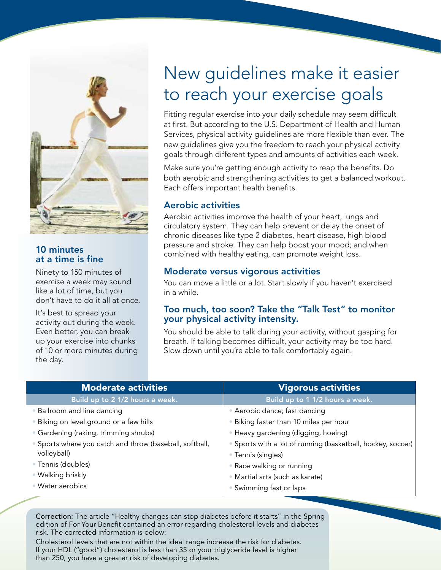

#### 10 minutes at a time is fine

Ninety to 150 minutes of exercise a week may sound like a lot of time, but you don't have to do it all at once.

It's best to spread your activity out during the week. Even better, you can break up your exercise into chunks of 10 or more minutes during the day.

# New guidelines make it easier to reach your exercise goals

Fitting regular exercise into your daily schedule may seem difficult at first. But according to the U.S. Department of Health and Human Services, physical activity guidelines are more flexible than ever. The new guidelines give you the freedom to reach your physical activity goals through different types and amounts of activities each week.

Make sure you're getting enough activity to reap the benefits. Do both aerobic and strengthening activities to get a balanced workout. Each offers important health benefits.

#### Aerobic activities

Aerobic activities improve the health of your heart, lungs and circulatory system. They can help prevent or delay the onset of chronic diseases like type 2 diabetes, heart disease, high blood pressure and stroke. They can help boost your mood; and when combined with healthy eating, can promote weight loss.

#### Moderate versus vigorous activities

You can move a little or a lot. Start slowly if you haven't exercised in a while.

#### Too much, too soon? Take the "Talk Test" to monitor your physical activity intensity.

You should be able to talk during your activity, without gasping for breath. If talking becomes difficult, your activity may be too hard. Slow down until you're able to talk comfortably again.

| <b>Moderate activities</b>                                             | <b>Vigorous activities</b>                                                          |  |  |  |
|------------------------------------------------------------------------|-------------------------------------------------------------------------------------|--|--|--|
| Build up to 2 1/2 hours a week.                                        | Build up to 1 1/2 hours a week.                                                     |  |  |  |
| • Ballroom and line dancing                                            | • Aerobic dance; fast dancing                                                       |  |  |  |
| · Biking on level ground or a few hills                                | Biking faster than 10 miles per hour                                                |  |  |  |
| · Gardening (raking, trimming shrubs)                                  | · Heavy gardening (digging, hoeing)                                                 |  |  |  |
| • Sports where you catch and throw (baseball, softball,<br>volleyball) | · Sports with a lot of running (basketball, hockey, soccer)  <br>• Tennis (singles) |  |  |  |
| • Tennis (doubles)                                                     | • Race walking or running                                                           |  |  |  |
| • Walking briskly                                                      | · Martial arts (such as karate)                                                     |  |  |  |
| · Water aerobics                                                       | • Swimming fast or laps                                                             |  |  |  |

Correction: The article "Healthy changes can stop diabetes before it starts" in the Spring edition of For Your Benefit contained an error regarding cholesterol levels and diabetes risk. The corrected information is below:

Cholesterol levels that are not within the ideal range increase the risk for diabetes. If your HDL ("good") cholesterol is less than 35 or your triglyceride level is higher than 250, you have a greater risk of developing diabetes.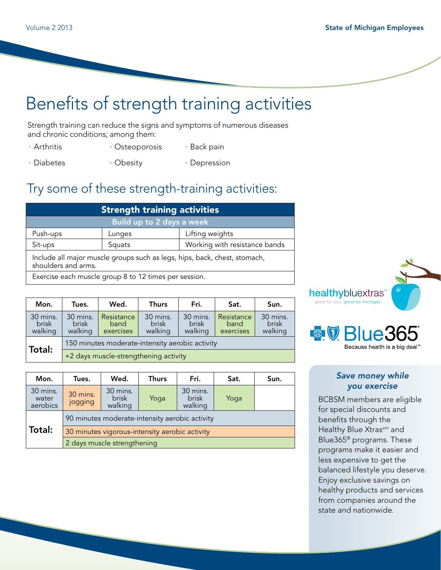## Benefits of strength training activities

Strength training can reduce the signs and symptoms of numerous diseases and chronic conditions; among them:

- Arthritis
- Osteoporosis
- Back pain
- Diabetes • Obesity • Depression

## Try some of these strength-training activities:

| <b>Strength training activities</b>                                                              |        |                               |  |  |
|--------------------------------------------------------------------------------------------------|--------|-------------------------------|--|--|
| Build up to 2 days a week                                                                        |        |                               |  |  |
| Push-ups                                                                                         | Lunges | Lifting weights               |  |  |
| Sit-ups                                                                                          | Squats | Working with resistance bands |  |  |
| Include all major muscle groups such as legs, hips, back, chest, stomach,<br>shoulders and arms. |        |                               |  |  |
| Exercise each muscle group 8 to 12 times per session.                                            |        |                               |  |  |

| Mon.                                | Tues.                                           | Wed.                            | <b>Thurs</b>                        | Fri.                         | Sat.                            | Sun.                                |
|-------------------------------------|-------------------------------------------------|---------------------------------|-------------------------------------|------------------------------|---------------------------------|-------------------------------------|
| 30 mins.<br><b>brisk</b><br>walking | 30 mins.<br><b>brisk</b><br>walking             | Resistance<br>band<br>exercises | 30 mins.<br><b>brisk</b><br>walking | 30 mins.<br>brisk<br>walking | Resistance<br>band<br>exercises | 30 mins.<br><b>brisk</b><br>walking |
|                                     | 150 minutes moderate-intensity aerobic activity |                                 |                                     |                              |                                 |                                     |
| Total:                              | +2 days muscle-strengthening activity           |                                 |                                     |                              |                                 |                                     |

| Mon.                          | Tues.                                          | Wed.                                | <b>Thurs</b> | Fri.                         | Sat. | Sun. |
|-------------------------------|------------------------------------------------|-------------------------------------|--------------|------------------------------|------|------|
| 30 mins.<br>water<br>aerobics | 30 mins.<br>jogging                            | 30 mins.<br><b>brisk</b><br>walking | Yoga         | 30 mins.<br>brisk<br>walking | Yoga |      |
|                               | 90 minutes moderate-intensity aerobic activity |                                     |              |                              |      |      |
| Total:                        | 30 minutes vigorous-intensity aerobic activity |                                     |              |                              |      |      |
|                               | 2 days muscle strengthening                    |                                     |              |                              |      |      |





#### *Save money while you exercise*

BCBSM members are eligible for special discounts and benefits through the Healthy Blue Xtrassm and Blue365® programs. These programs make it easier and less expensive to get the balanced lifestyle you deserve. Enjoy exclusive savings on healthy products and services from companies around the state and nationwide.